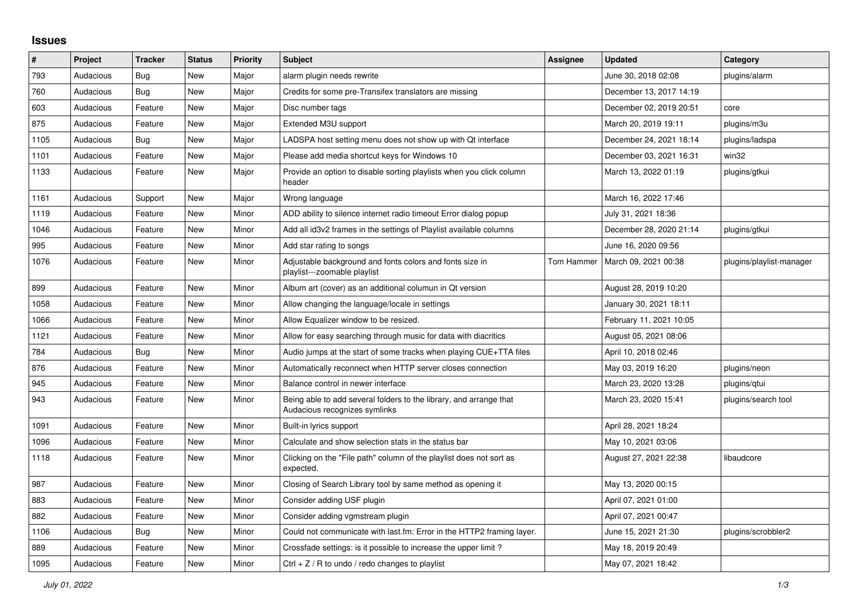## **Issues**

| #    | Project   | <b>Tracker</b> | <b>Status</b> | <b>Priority</b> | <b>Subject</b>                                                                                      | Assignee   | <b>Updated</b>          | Category                 |
|------|-----------|----------------|---------------|-----------------|-----------------------------------------------------------------------------------------------------|------------|-------------------------|--------------------------|
| 793  | Audacious | Bug            | <b>New</b>    | Major           | alarm plugin needs rewrite                                                                          |            | June 30, 2018 02:08     | plugins/alarm            |
| 760  | Audacious | Bug            | <b>New</b>    | Major           | Credits for some pre-Transifex translators are missing                                              |            | December 13, 2017 14:19 |                          |
| 603  | Audacious | Feature        | <b>New</b>    | Major           | Disc number tags                                                                                    |            | December 02, 2019 20:51 | core                     |
| 875  | Audacious | Feature        | <b>New</b>    | Major           | Extended M3U support                                                                                |            | March 20, 2019 19:11    | plugins/m3u              |
| 1105 | Audacious | Bug            | New           | Major           | LADSPA host setting menu does not show up with Qt interface                                         |            | December 24, 2021 18:14 | plugins/ladspa           |
| 1101 | Audacious | Feature        | <b>New</b>    | Major           | Please add media shortcut keys for Windows 10                                                       |            | December 03, 2021 16:31 | win32                    |
| 1133 | Audacious | Feature        | New           | Major           | Provide an option to disable sorting playlists when you click column<br>header                      |            | March 13, 2022 01:19    | plugins/gtkui            |
| 1161 | Audacious | Support        | <b>New</b>    | Major           | Wrong language                                                                                      |            | March 16, 2022 17:46    |                          |
| 1119 | Audacious | Feature        | <b>New</b>    | Minor           | ADD ability to silence internet radio timeout Error dialog popup                                    |            | July 31, 2021 18:36     |                          |
| 1046 | Audacious | Feature        | <b>New</b>    | Minor           | Add all id3v2 frames in the settings of Playlist available columns                                  |            | December 28, 2020 21:14 | plugins/gtkui            |
| 995  | Audacious | Feature        | New           | Minor           | Add star rating to songs                                                                            |            | June 16, 2020 09:56     |                          |
| 1076 | Audacious | Feature        | New           | Minor           | Adjustable background and fonts colors and fonts size in<br>playlist---zoomable playlist            | Tom Hammer | March 09, 2021 00:38    | plugins/playlist-manager |
| 899  | Audacious | Feature        | New           | Minor           | Album art (cover) as an additional columun in Qt version                                            |            | August 28, 2019 10:20   |                          |
| 1058 | Audacious | Feature        | <b>New</b>    | Minor           | Allow changing the language/locale in settings                                                      |            | January 30, 2021 18:11  |                          |
| 1066 | Audacious | Feature        | <b>New</b>    | Minor           | Allow Equalizer window to be resized.                                                               |            | February 11, 2021 10:05 |                          |
| 1121 | Audacious | Feature        | <b>New</b>    | Minor           | Allow for easy searching through music for data with diacritics                                     |            | August 05, 2021 08:06   |                          |
| 784  | Audacious | <b>Bug</b>     | New           | Minor           | Audio jumps at the start of some tracks when playing CUE+TTA files                                  |            | April 10, 2018 02:46    |                          |
| 876  | Audacious | Feature        | <b>New</b>    | Minor           | Automatically reconnect when HTTP server closes connection                                          |            | May 03, 2019 16:20      | plugins/neon             |
| 945  | Audacious | Feature        | <b>New</b>    | Minor           | Balance control in newer interface                                                                  |            | March 23, 2020 13:28    | plugins/gtui             |
| 943  | Audacious | Feature        | <b>New</b>    | Minor           | Being able to add several folders to the library, and arrange that<br>Audacious recognizes symlinks |            | March 23, 2020 15:41    | plugins/search tool      |
| 1091 | Audacious | Feature        | <b>New</b>    | Minor           | Built-in lyrics support                                                                             |            | April 28, 2021 18:24    |                          |
| 1096 | Audacious | Feature        | New           | Minor           | Calculate and show selection stats in the status bar                                                |            | May 10, 2021 03:06      |                          |
| 1118 | Audacious | Feature        | <b>New</b>    | Minor           | Clicking on the "File path" column of the playlist does not sort as<br>expected.                    |            | August 27, 2021 22:38   | libaudcore               |
| 987  | Audacious | Feature        | <b>New</b>    | Minor           | Closing of Search Library tool by same method as opening it                                         |            | May 13, 2020 00:15      |                          |
| 883  | Audacious | Feature        | <b>New</b>    | Minor           | Consider adding USF plugin                                                                          |            | April 07, 2021 01:00    |                          |
| 882  | Audacious | Feature        | <b>New</b>    | Minor           | Consider adding vgmstream plugin                                                                    |            | April 07, 2021 00:47    |                          |
| 1106 | Audacious | Bug            | <b>New</b>    | Minor           | Could not communicate with last.fm: Error in the HTTP2 framing layer.                               |            | June 15, 2021 21:30     | plugins/scrobbler2       |
| 889  | Audacious | Feature        | <b>New</b>    | Minor           | Crossfade settings: is it possible to increase the upper limit?                                     |            | May 18, 2019 20:49      |                          |
| 1095 | Audacious | Feature        | <b>New</b>    | Minor           | Ctrl $+$ Z / R to undo / redo changes to playlist                                                   |            | May 07, 2021 18:42      |                          |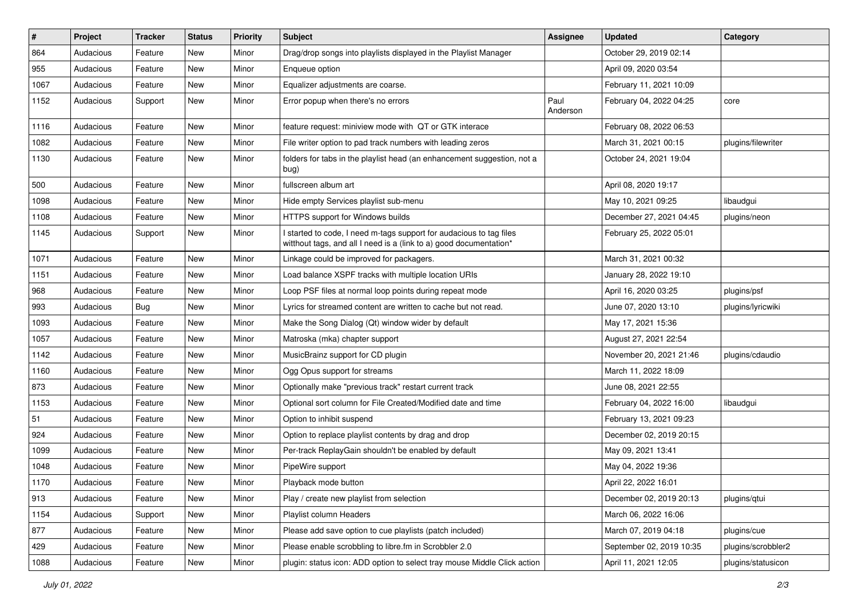| #    | Project   | <b>Tracker</b> | <b>Status</b> | <b>Priority</b> | Subject                                                                                                                                   | <b>Assignee</b>  | <b>Updated</b>           | Category           |
|------|-----------|----------------|---------------|-----------------|-------------------------------------------------------------------------------------------------------------------------------------------|------------------|--------------------------|--------------------|
| 864  | Audacious | Feature        | New           | Minor           | Drag/drop songs into playlists displayed in the Playlist Manager                                                                          |                  | October 29, 2019 02:14   |                    |
| 955  | Audacious | Feature        | New           | Minor           | Enqueue option                                                                                                                            |                  | April 09, 2020 03:54     |                    |
| 1067 | Audacious | Feature        | New           | Minor           | Equalizer adjustments are coarse.                                                                                                         |                  | February 11, 2021 10:09  |                    |
| 1152 | Audacious | Support        | New           | Minor           | Error popup when there's no errors                                                                                                        | Paul<br>Anderson | February 04, 2022 04:25  | core               |
| 1116 | Audacious | Feature        | New           | Minor           | feature request: miniview mode with QT or GTK interace                                                                                    |                  | February 08, 2022 06:53  |                    |
| 1082 | Audacious | Feature        | New           | Minor           | File writer option to pad track numbers with leading zeros                                                                                |                  | March 31, 2021 00:15     | plugins/filewriter |
| 1130 | Audacious | Feature        | New           | Minor           | folders for tabs in the playlist head (an enhancement suggestion, not a<br>bug)                                                           |                  | October 24, 2021 19:04   |                    |
| 500  | Audacious | Feature        | New           | Minor           | fullscreen album art                                                                                                                      |                  | April 08, 2020 19:17     |                    |
| 1098 | Audacious | Feature        | New           | Minor           | Hide empty Services playlist sub-menu                                                                                                     |                  | May 10, 2021 09:25       | libaudgui          |
| 1108 | Audacious | Feature        | New           | Minor           | HTTPS support for Windows builds                                                                                                          |                  | December 27, 2021 04:45  | plugins/neon       |
| 1145 | Audacious | Support        | New           | Minor           | I started to code, I need m-tags support for audacious to tag files<br>witthout tags, and all I need is a (link to a) good documentation* |                  | February 25, 2022 05:01  |                    |
| 1071 | Audacious | Feature        | New           | Minor           | Linkage could be improved for packagers.                                                                                                  |                  | March 31, 2021 00:32     |                    |
| 1151 | Audacious | Feature        | New           | Minor           | Load balance XSPF tracks with multiple location URIs                                                                                      |                  | January 28, 2022 19:10   |                    |
| 968  | Audacious | Feature        | New           | Minor           | Loop PSF files at normal loop points during repeat mode                                                                                   |                  | April 16, 2020 03:25     | plugins/psf        |
| 993  | Audacious | <b>Bug</b>     | New           | Minor           | Lyrics for streamed content are written to cache but not read.                                                                            |                  | June 07, 2020 13:10      | plugins/lyricwiki  |
| 1093 | Audacious | Feature        | New           | Minor           | Make the Song Dialog (Qt) window wider by default                                                                                         |                  | May 17, 2021 15:36       |                    |
| 1057 | Audacious | Feature        | New           | Minor           | Matroska (mka) chapter support                                                                                                            |                  | August 27, 2021 22:54    |                    |
| 1142 | Audacious | Feature        | New           | Minor           | MusicBrainz support for CD plugin                                                                                                         |                  | November 20, 2021 21:46  | plugins/cdaudio    |
| 1160 | Audacious | Feature        | New           | Minor           | Ogg Opus support for streams                                                                                                              |                  | March 11, 2022 18:09     |                    |
| 873  | Audacious | Feature        | New           | Minor           | Optionally make "previous track" restart current track                                                                                    |                  | June 08, 2021 22:55      |                    |
| 1153 | Audacious | Feature        | New           | Minor           | Optional sort column for File Created/Modified date and time                                                                              |                  | February 04, 2022 16:00  | libaudgui          |
| 51   | Audacious | Feature        | New           | Minor           | Option to inhibit suspend                                                                                                                 |                  | February 13, 2021 09:23  |                    |
| 924  | Audacious | Feature        | New           | Minor           | Option to replace playlist contents by drag and drop                                                                                      |                  | December 02, 2019 20:15  |                    |
| 1099 | Audacious | Feature        | New           | Minor           | Per-track ReplayGain shouldn't be enabled by default                                                                                      |                  | May 09, 2021 13:41       |                    |
| 1048 | Audacious | Feature        | New           | Minor           | PipeWire support                                                                                                                          |                  | May 04, 2022 19:36       |                    |
| 1170 | Audacious | Feature        | New           | Minor           | Playback mode button                                                                                                                      |                  | April 22, 2022 16:01     |                    |
| 913  | Audacious | Feature        | New           | Minor           | Play / create new playlist from selection                                                                                                 |                  | December 02, 2019 20:13  | plugins/qtui       |
| 1154 | Audacious | Support        | New           | Minor           | Playlist column Headers                                                                                                                   |                  | March 06, 2022 16:06     |                    |
| 877  | Audacious | Feature        | New           | Minor           | Please add save option to cue playlists (patch included)                                                                                  |                  | March 07, 2019 04:18     | plugins/cue        |
| 429  | Audacious | Feature        | New           | Minor           | Please enable scrobbling to libre.fm in Scrobbler 2.0                                                                                     |                  | September 02, 2019 10:35 | plugins/scrobbler2 |
| 1088 | Audacious | Feature        | New           | Minor           | plugin: status icon: ADD option to select tray mouse Middle Click action                                                                  |                  | April 11, 2021 12:05     | plugins/statusicon |